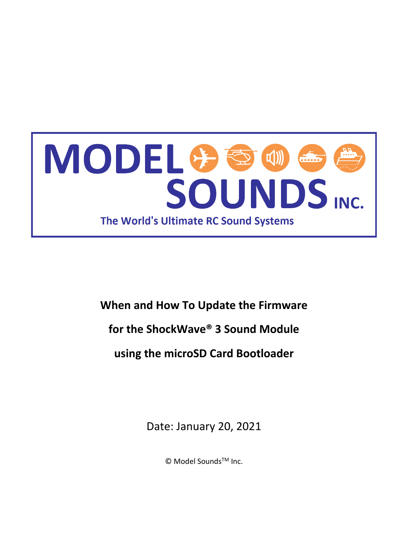

# **When and How To Update the Firmware for the ShockWave® 3 Sound Module using the microSD Card Bootloader**

Date: January 20, 2021

© Model Sounds<sup>™</sup> Inc.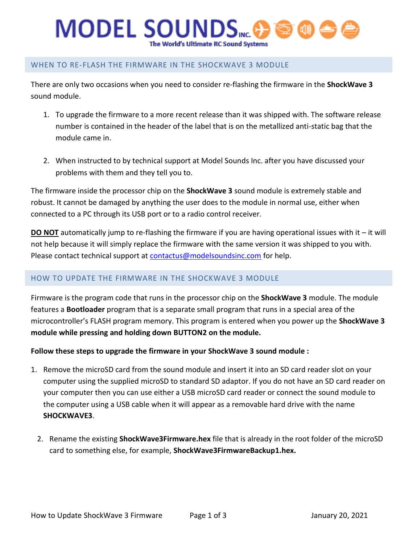## **MODEL SOUNDS**MC. The World's Ultimate RC Sound Systems

### WHEN TO RE-FLASH THE FIRMWARE IN THE SHOCKWAVE 3 MODULE

There are only two occasions when you need to consider re-flashing the firmware in the **ShockWave 3** sound module.

- 1. To upgrade the firmware to a more recent release than it was shipped with. The software release number is contained in the header of the label that is on the metallized anti-static bag that the module came in.
- 2. When instructed to by technical support at Model Sounds Inc. after you have discussed your problems with them and they tell you to.

The firmware inside the processor chip on the **ShockWave 3** sound module is extremely stable and robust. It cannot be damaged by anything the user does to the module in normal use, either when connected to a PC through its USB port or to a radio control receiver.

**DO NOT** automatically jump to re-flashing the firmware if you are having operational issues with it – it will not help because it will simply replace the firmware with the same version it was shipped to you with. Please contact technical support at [contactus@modelsoundsinc.com](mailto:contactus@modelsoundsinc.com) for help.

### HOW TO UPDATE THE FIRMWARE IN THE SHOCKWAVE 3 MODULE

Firmware is the program code that runs in the processor chip on the **ShockWave 3** module. The module features a **Bootloader** program that is a separate small program that runs in a special area of the microcontroller's FLASH program memory. This program is entered when you power up the **ShockWave 3 module while pressing and holding down BUTTON2 on the module.**

**Follow these steps to upgrade the firmware in your ShockWave 3 sound module :**

- 1. Remove the microSD card from the sound module and insert it into an SD card reader slot on your computer using the supplied microSD to standard SD adaptor. If you do not have an SD card reader on your computer then you can use either a USB microSD card reader or connect the sound module to the computer using a USB cable when it will appear as a removable hard drive with the name **SHOCKWAVE3**.
	- 2. Rename the existing **ShockWave3Firmware.hex** file that is already in the root folder of the microSD card to something else, for example, **ShockWave3FirmwareBackup1.hex.**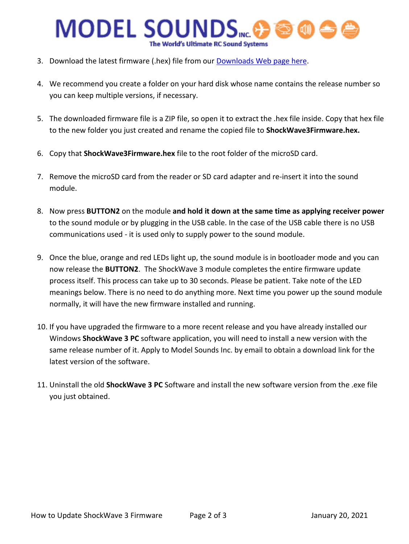# **MODEL SOUNDS**INC. The World's Ultimate RC Sound Systems

- 3. Download the latest firmware (.hex) file from our [Downloads Web page](http://www.modelsoundsinc.com/downloads.php) here.
- 4. We recommend you create a folder on your hard disk whose name contains the release number so you can keep multiple versions, if necessary.
- 5. The downloaded firmware file is a ZIP file, so open it to extract the .hex file inside. Copy that hex file to the new folder you just created and rename the copied file to **ShockWave3Firmware.hex.**
- 6. Copy that **ShockWave3Firmware.hex** file to the root folder of the microSD card.
- 7. Remove the microSD card from the reader or SD card adapter and re-insert it into the sound module.
- 8. Now press **BUTTON2** on the module **and hold it down at the same time as applying receiver power** to the sound module or by plugging in the USB cable. In the case of the USB cable there is no USB communications used - it is used only to supply power to the sound module.
- 9. Once the blue, orange and red LEDs light up, the sound module is in bootloader mode and you can now release the **BUTTON2**. The ShockWave 3 module completes the entire firmware update process itself. This process can take up to 30 seconds. Please be patient. Take note of the LED meanings below. There is no need to do anything more. Next time you power up the sound module normally, it will have the new firmware installed and running.
- 10. If you have upgraded the firmware to a more recent release and you have already installed our Windows **ShockWave 3 PC** software application, you will need to install a new version with the same release number of it. Apply to Model Sounds Inc. by email to obtain a download link for the latest version of the software.
- 11. Uninstall the old **ShockWave 3 PC** Software and install the new software version from the .exe file you just obtained.